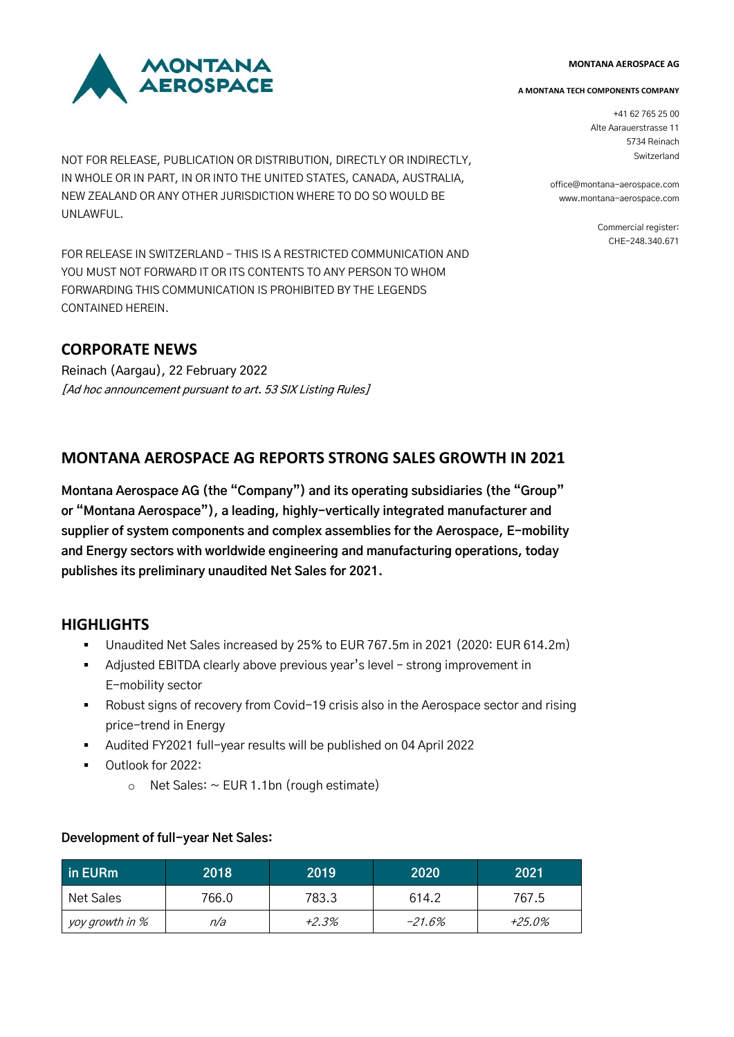# **MONTANA**<br>AEROSPACE

NOT FOR RELEASE, PUBLICATION OR DISTRIBUTION, DIRECTLY OR INDIRECTLY, IN WHOLE OR IN PART, IN OR INTO THE UNITED STATES, CANADA, AUSTRALIA, NEW ZEALAND OR ANY OTHER JURISDICTION WHERE TO DO SO WOULD BE UNLAWFUL.

FOR RELEASE IN SWITZERLAND – THIS IS A RESTRICTED COMMUNICATION AND YOU MUST NOT FORWARD IT OR ITS CONTENTS TO ANY PERSON TO WHOM FORWARDING THIS COMMUNICATION IS PROHIBITED BY THE LEGENDS CONTAINED HEREIN.

# **CORPORATE NEWS**

Reinach (Aargau), 22 February 2022 [Ad hoc announcement pursuant to art. 53 SIX Listing Rules]

## **MONTANA AEROSPACE AG REPORTS STRONG SALES GROWTH IN 2021**

**Montana Aerospace AG (the "Company") and its operating subsidiaries (the "Group" or "Montana Aerospace"), a leading, highly-vertically integrated manufacturer and supplier of system components and complex assemblies for the Aerospace, E-mobility and Energy sectors with worldwide engineering and manufacturing operations, today publishes its preliminary unaudited Net Sales for 2021.** 

## **HIGHLIGHTS**

- Unaudited Net Sales increased by 25% to EUR 767.5m in 2021 (2020: EUR 614.2m)
- Adjusted EBITDA clearly above previous year's level strong improvement in E-mobility sector
- Robust signs of recovery from Covid-19 crisis also in the Aerospace sector and rising price-trend in Energy
- Audited FY2021 full-year results will be published on 04 April 2022
- Outlook for 2022:
	- $\circ$  Net Sales:  $\sim$  EUR 1.1bn (rough estimate)

| in EURm         | 2018  | 2019  | 2020   | 2021   |
|-----------------|-------|-------|--------|--------|
| Net Sales       | 766.0 | 783.3 | 614.2  | 767.5  |
| yoy growth in % | n/a   | +2.3% | -21.6% | +25.0% |

## **Development of full-year Net Sales:**

#### **MONTANA AEROSPACE AG**

#### **A MONTANA TECH COMPONENTS COMPANY**

+41 62 765 25 00 Alte Aarauerstrasse 11 5734 Reinach Switzerland

office@montana-aerospace.com www.montana-aerospace.com

> Commercial register: CHE-248.340.671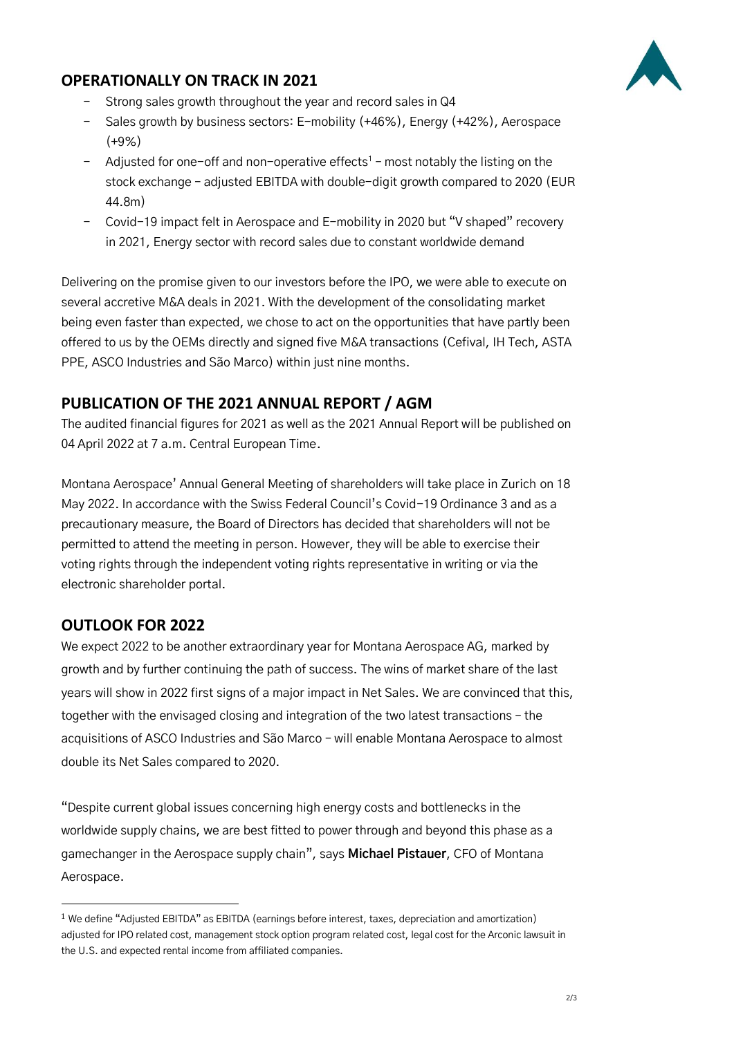## **OPERATIONALLY ON TRACK IN 2021**



- Strong sales growth throughout the year and record sales in Q4
- Sales growth by business sectors: E-mobility (+46%), Energy (+42%), Aerospace (+9%)
- $-$  Adjusted for one-off and non-operative effects<sup>1</sup> most notably the listing on the stock exchange – adjusted EBITDA with double-digit growth compared to 2020 (EUR 44.8m)
- Covid-19 impact felt in Aerospace and E-mobility in 2020 but "V shaped" recovery in 2021, Energy sector with record sales due to constant worldwide demand

Delivering on the promise given to our investors before the IPO, we were able to execute on several accretive M&A deals in 2021. With the development of the consolidating market being even faster than expected, we chose to act on the opportunities that have partly been offered to us by the OEMs directly and signed five M&A transactions (Cefival, IH Tech, ASTA PPE, ASCO Industries and São Marco) within just nine months.

# **PUBLICATION OF THE 2021 ANNUAL REPORT / AGM**

The audited financial figures for 2021 as well as the 2021 Annual Report will be published on 04 April 2022 at 7 a.m. Central European Time.

Montana Aerospace' Annual General Meeting of shareholders will take place in Zurich on 18 May 2022. In accordance with the Swiss Federal Council's Covid-19 Ordinance 3 and as a precautionary measure, the Board of Directors has decided that shareholders will not be permitted to attend the meeting in person. However, they will be able to exercise their voting rights through the independent voting rights representative in writing or via the electronic shareholder portal.

## **OUTLOOK FOR 2022**

We expect 2022 to be another extraordinary year for Montana Aerospace AG, marked by growth and by further continuing the path of success. The wins of market share of the last years will show in 2022 first signs of a major impact in Net Sales. We are convinced that this, together with the envisaged closing and integration of the two latest transactions – the acquisitions of ASCO Industries and São Marco – will enable Montana Aerospace to almost double its Net Sales compared to 2020.

"Despite current global issues concerning high energy costs and bottlenecks in the worldwide supply chains, we are best fitted to power through and beyond this phase as a gamechanger in the Aerospace supply chain", says **Michael Pistauer**, CFO of Montana Aerospace.

<sup>&</sup>lt;sup>1</sup> We define "Adjusted EBITDA" as EBITDA (earnings before interest, taxes, depreciation and amortization) adjusted for IPO related cost, management stock option program related cost, legal cost for the Arconic lawsuit in the U.S. and expected rental income from affiliated companies.